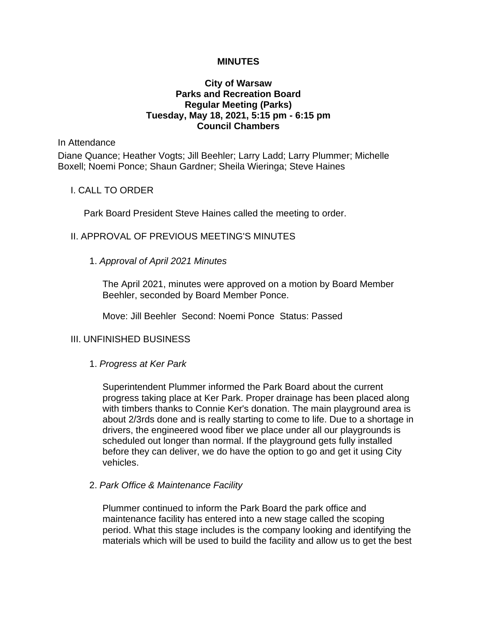#### **MINUTES**

# **City of Warsaw Parks and Recreation Board Regular Meeting (Parks) Tuesday, May 18, 2021, 5:15 pm - 6:15 pm Council Chambers**

In Attendance

Diane Quance; Heather Vogts; Jill Beehler; Larry Ladd; Larry Plummer; Michelle Boxell; Noemi Ponce; Shaun Gardner; Sheila Wieringa; Steve Haines

# I. CALL TO ORDER

Park Board President Steve Haines called the meeting to order.

# II. APPROVAL OF PREVIOUS MEETING'S MINUTES

# 1. *Approval of April 2021 Minutes*

The April 2021, minutes were approved on a motion by Board Member Beehler, seconded by Board Member Ponce.

Move: Jill Beehler Second: Noemi Ponce Status: Passed

# III. UNFINISHED BUSINESS

#### 1. *Progress at Ker Park*

Superintendent Plummer informed the Park Board about the current progress taking place at Ker Park. Proper drainage has been placed along with timbers thanks to Connie Ker's donation. The main playground area is about 2/3rds done and is really starting to come to life. Due to a shortage in drivers, the engineered wood fiber we place under all our playgrounds is scheduled out longer than normal. If the playground gets fully installed before they can deliver, we do have the option to go and get it using City vehicles.

#### 2. *Park Office & Maintenance Facility*

Plummer continued to inform the Park Board the park office and maintenance facility has entered into a new stage called the scoping period. What this stage includes is the company looking and identifying the materials which will be used to build the facility and allow us to get the best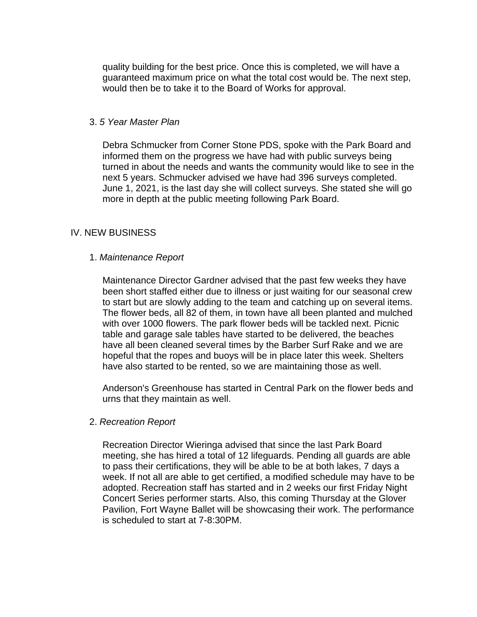quality building for the best price. Once this is completed, we will have a guaranteed maximum price on what the total cost would be. The next step, would then be to take it to the Board of Works for approval.

### 3. *5 Year Master Plan*

Debra Schmucker from Corner Stone PDS, spoke with the Park Board and informed them on the progress we have had with public surveys being turned in about the needs and wants the community would like to see in the next 5 years. Schmucker advised we have had 396 surveys completed. June 1, 2021, is the last day she will collect surveys. She stated she will go more in depth at the public meeting following Park Board.

# IV. NEW BUSINESS

# 1. *Maintenance Report*

Maintenance Director Gardner advised that the past few weeks they have been short staffed either due to illness or just waiting for our seasonal crew to start but are slowly adding to the team and catching up on several items. The flower beds, all 82 of them, in town have all been planted and mulched with over 1000 flowers. The park flower beds will be tackled next. Picnic table and garage sale tables have started to be delivered, the beaches have all been cleaned several times by the Barber Surf Rake and we are hopeful that the ropes and buoys will be in place later this week. Shelters have also started to be rented, so we are maintaining those as well.

Anderson's Greenhouse has started in Central Park on the flower beds and urns that they maintain as well.

#### 2. *Recreation Report*

Recreation Director Wieringa advised that since the last Park Board meeting, she has hired a total of 12 lifeguards. Pending all guards are able to pass their certifications, they will be able to be at both lakes, 7 days a week. If not all are able to get certified, a modified schedule may have to be adopted. Recreation staff has started and in 2 weeks our first Friday Night Concert Series performer starts. Also, this coming Thursday at the Glover Pavilion, Fort Wayne Ballet will be showcasing their work. The performance is scheduled to start at 7-8:30PM.